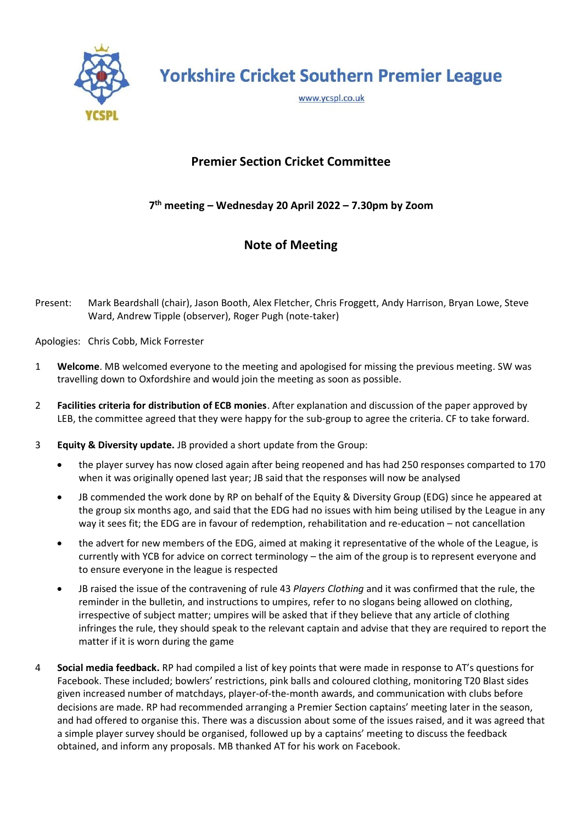

**Yorkshire Cricket Southern Premier League** 

www.ycspl.co.uk

## **Premier Section Cricket Committee**

## **7 th meeting – Wednesday 20 April 2022 – 7.30pm by Zoom**

## **Note of Meeting**

Present: Mark Beardshall (chair), Jason Booth, Alex Fletcher, Chris Froggett, Andy Harrison, Bryan Lowe, Steve Ward, Andrew Tipple (observer), Roger Pugh (note-taker)

Apologies: Chris Cobb, Mick Forrester

- 1 **Welcome**. MB welcomed everyone to the meeting and apologised for missing the previous meeting. SW was travelling down to Oxfordshire and would join the meeting as soon as possible.
- 2 **Facilities criteria for distribution of ECB monies**. After explanation and discussion of the paper approved by LEB, the committee agreed that they were happy for the sub-group to agree the criteria. CF to take forward.
- 3 **Equity & Diversity update.** JB provided a short update from the Group:
	- the player survey has now closed again after being reopened and has had 250 responses comparted to 170 when it was originally opened last year; JB said that the responses will now be analysed
	- JB commended the work done by RP on behalf of the Equity & Diversity Group (EDG) since he appeared at the group six months ago, and said that the EDG had no issues with him being utilised by the League in any way it sees fit; the EDG are in favour of redemption, rehabilitation and re-education – not cancellation
	- the advert for new members of the EDG, aimed at making it representative of the whole of the League, is currently with YCB for advice on correct terminology – the aim of the group is to represent everyone and to ensure everyone in the league is respected
	- JB raised the issue of the contravening of rule 43 *Players Clothing* and it was confirmed that the rule, the reminder in the bulletin, and instructions to umpires, refer to no slogans being allowed on clothing, irrespective of subject matter; umpires will be asked that if they believe that any article of clothing infringes the rule, they should speak to the relevant captain and advise that they are required to report the matter if it is worn during the game
- 4 **Social media feedback.** RP had compiled a list of key points that were made in response to AT's questions for Facebook. These included; bowlers' restrictions, pink balls and coloured clothing, monitoring T20 Blast sides given increased number of matchdays, player-of-the-month awards, and communication with clubs before decisions are made. RP had recommended arranging a Premier Section captains' meeting later in the season, and had offered to organise this. There was a discussion about some of the issues raised, and it was agreed that a simple player survey should be organised, followed up by a captains' meeting to discuss the feedback obtained, and inform any proposals. MB thanked AT for his work on Facebook.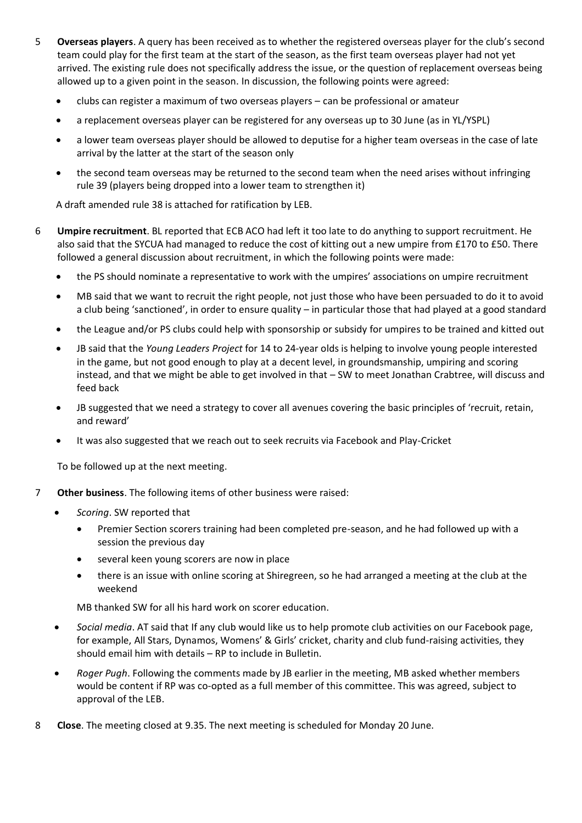- 5 **Overseas players**. A query has been received as to whether the registered overseas player for the club's second team could play for the first team at the start of the season, as the first team overseas player had not yet arrived. The existing rule does not specifically address the issue, or the question of replacement overseas being allowed up to a given point in the season. In discussion, the following points were agreed:
	- clubs can register a maximum of two overseas players can be professional or amateur
	- a replacement overseas player can be registered for any overseas up to 30 June (as in YL/YSPL)
	- a lower team overseas player should be allowed to deputise for a higher team overseas in the case of late arrival by the latter at the start of the season only
	- the second team overseas may be returned to the second team when the need arises without infringing rule 39 (players being dropped into a lower team to strengthen it)

A draft amended rule 38 is attached for ratification by LEB.

- 6 **Umpire recruitment**. BL reported that ECB ACO had left it too late to do anything to support recruitment. He also said that the SYCUA had managed to reduce the cost of kitting out a new umpire from £170 to £50. There followed a general discussion about recruitment, in which the following points were made:
	- the PS should nominate a representative to work with the umpires' associations on umpire recruitment
	- MB said that we want to recruit the right people, not just those who have been persuaded to do it to avoid a club being 'sanctioned', in order to ensure quality – in particular those that had played at a good standard
	- the League and/or PS clubs could help with sponsorship or subsidy for umpires to be trained and kitted out
	- JB said that the *Young Leaders Project* for 14 to 24-year olds is helping to involve young people interested in the game, but not good enough to play at a decent level, in groundsmanship, umpiring and scoring instead, and that we might be able to get involved in that – SW to meet Jonathan Crabtree, will discuss and feed back
	- JB suggested that we need a strategy to cover all avenues covering the basic principles of 'recruit, retain, and reward'
	- It was also suggested that we reach out to seek recruits via Facebook and Play-Cricket

To be followed up at the next meeting.

- 7 **Other business**. The following items of other business were raised:
	- *Scoring*. SW reported that
		- Premier Section scorers training had been completed pre-season, and he had followed up with a session the previous day
		- several keen young scorers are now in place
		- there is an issue with online scoring at Shiregreen, so he had arranged a meeting at the club at the weekend

MB thanked SW for all his hard work on scorer education.

- *Social media*. AT said that If any club would like us to help promote club activities on our Facebook page, for example, All Stars, Dynamos, Womens' & Girls' cricket, charity and club fund-raising activities, they should email him with details – RP to include in Bulletin.
- *Roger Pugh*. Following the comments made by JB earlier in the meeting, MB asked whether members would be content if RP was co-opted as a full member of this committee. This was agreed, subject to approval of the LEB.
- 8 **Close**. The meeting closed at 9.35. The next meeting is scheduled for Monday 20 June.